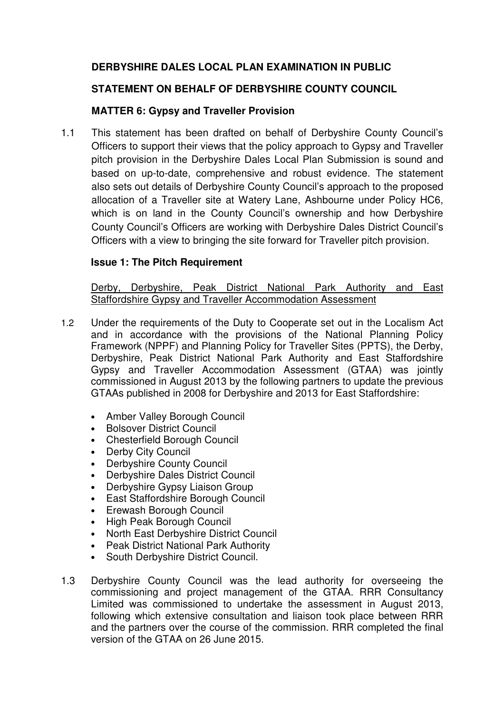# **DERBYSHIRE DALES LOCAL PLAN EXAMINATION IN PUBLIC**

## **STATEMENT ON BEHALF OF DERBYSHIRE COUNTY COUNCIL**

### **MATTER 6: Gypsy and Traveller Provision**

1.1 This statement has been drafted on behalf of Derbyshire County Council's Officers to support their views that the policy approach to Gypsy and Traveller pitch provision in the Derbyshire Dales Local Plan Submission is sound and based on up-to-date, comprehensive and robust evidence. The statement also sets out details of Derbyshire County Council's approach to the proposed allocation of a Traveller site at Watery Lane, Ashbourne under Policy HC6, which is on land in the County Council's ownership and how Derbyshire County Council's Officers are working with Derbyshire Dales District Council's Officers with a view to bringing the site forward for Traveller pitch provision.

### **Issue 1: The Pitch Requirement**

Derby, Derbyshire, Peak District National Park Authority and East Staffordshire Gypsy and Traveller Accommodation Assessment

- 1.2 Under the requirements of the Duty to Cooperate set out in the Localism Act and in accordance with the provisions of the National Planning Policy Framework (NPPF) and Planning Policy for Traveller Sites (PPTS), the Derby, Derbyshire, Peak District National Park Authority and East Staffordshire Gypsy and Traveller Accommodation Assessment (GTAA) was jointly commissioned in August 2013 by the following partners to update the previous GTAAs published in 2008 for Derbyshire and 2013 for East Staffordshire:
	- Amber Valley Borough Council
	- Bolsover District Council
	- Chesterfield Borough Council
	- Derby City Council
	- Derbyshire County Council
	- Derbyshire Dales District Council
	- Derbyshire Gypsy Liaison Group
	- East Staffordshire Borough Council
	- Erewash Borough Council
	- High Peak Borough Council
	- North East Derbyshire District Council
	- Peak District National Park Authority
	- South Derbyshire District Council.
- 1.3 Derbyshire County Council was the lead authority for overseeing the commissioning and project management of the GTAA. RRR Consultancy Limited was commissioned to undertake the assessment in August 2013, following which extensive consultation and liaison took place between RRR and the partners over the course of the commission. RRR completed the final version of the GTAA on 26 June 2015.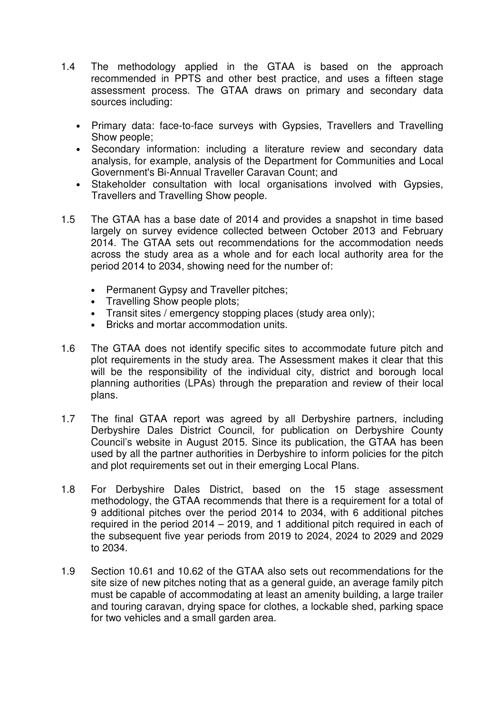- 1.4 The methodology applied in the GTAA is based on the approach recommended in PPTS and other best practice, and uses a fifteen stage assessment process. The GTAA draws on primary and secondary data sources including:
	- Primary data: face-to-face surveys with Gypsies, Travellers and Travelling Show people;
	- Secondary information: including a literature review and secondary data analysis, for example, analysis of the Department for Communities and Local Government's Bi-Annual Traveller Caravan Count; and
	- Stakeholder consultation with local organisations involved with Gypsies, Travellers and Travelling Show people.
- 1.5 The GTAA has a base date of 2014 and provides a snapshot in time based largely on survey evidence collected between October 2013 and February 2014. The GTAA sets out recommendations for the accommodation needs across the study area as a whole and for each local authority area for the period 2014 to 2034, showing need for the number of:
	- Permanent Gypsy and Traveller pitches;
	- Travelling Show people plots;
	- Transit sites / emergency stopping places (study area only);
	- Bricks and mortar accommodation units.
- 1.6 The GTAA does not identify specific sites to accommodate future pitch and plot requirements in the study area. The Assessment makes it clear that this will be the responsibility of the individual city, district and borough local planning authorities (LPAs) through the preparation and review of their local plans.
- 1.7 The final GTAA report was agreed by all Derbyshire partners, including Derbyshire Dales District Council, for publication on Derbyshire County Council's website in August 2015. Since its publication, the GTAA has been used by all the partner authorities in Derbyshire to inform policies for the pitch and plot requirements set out in their emerging Local Plans.
- 1.8 For Derbyshire Dales District, based on the 15 stage assessment methodology, the GTAA recommends that there is a requirement for a total of 9 additional pitches over the period 2014 to 2034, with 6 additional pitches required in the period 2014 – 2019, and 1 additional pitch required in each of the subsequent five year periods from 2019 to 2024, 2024 to 2029 and 2029 to 2034.
- 1.9 Section 10.61 and 10.62 of the GTAA also sets out recommendations for the site size of new pitches noting that as a general guide, an average family pitch must be capable of accommodating at least an amenity building, a large trailer and touring caravan, drying space for clothes, a lockable shed, parking space for two vehicles and a small garden area.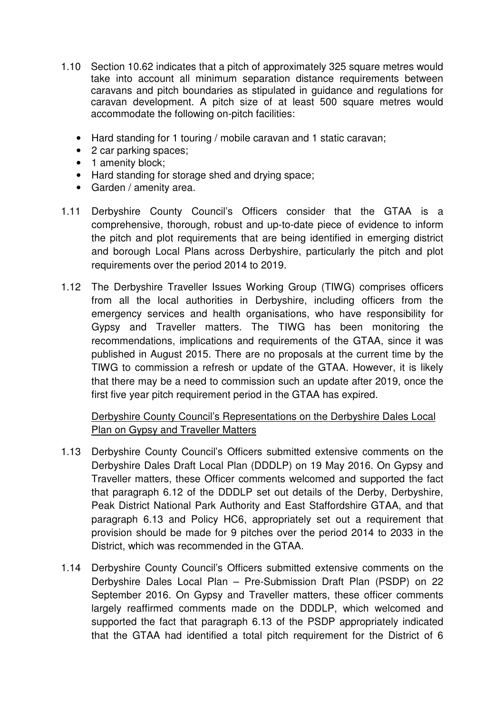- 1.10 Section 10.62 indicates that a pitch of approximately 325 square metres would take into account all minimum separation distance requirements between caravans and pitch boundaries as stipulated in guidance and regulations for caravan development. A pitch size of at least 500 square metres would accommodate the following on-pitch facilities:
	- Hard standing for 1 touring / mobile caravan and 1 static caravan;
	- 2 car parking spaces;
	- 1 amenity block;
	- Hard standing for storage shed and drying space;
	- Garden / amenity area.
- 1.11 Derbyshire County Council's Officers consider that the GTAA is a comprehensive, thorough, robust and up-to-date piece of evidence to inform the pitch and plot requirements that are being identified in emerging district and borough Local Plans across Derbyshire, particularly the pitch and plot requirements over the period 2014 to 2019.
- 1.12 The Derbyshire Traveller Issues Working Group (TIWG) comprises officers from all the local authorities in Derbyshire, including officers from the emergency services and health organisations, who have responsibility for Gypsy and Traveller matters. The TIWG has been monitoring the recommendations, implications and requirements of the GTAA, since it was published in August 2015. There are no proposals at the current time by the TIWG to commission a refresh or update of the GTAA. However, it is likely that there may be a need to commission such an update after 2019, once the first five year pitch requirement period in the GTAA has expired.

Derbyshire County Council's Representations on the Derbyshire Dales Local Plan on Gypsy and Traveller Matters

- 1.13 Derbyshire County Council's Officers submitted extensive comments on the Derbyshire Dales Draft Local Plan (DDDLP) on 19 May 2016. On Gypsy and Traveller matters, these Officer comments welcomed and supported the fact that paragraph 6.12 of the DDDLP set out details of the Derby, Derbyshire, Peak District National Park Authority and East Staffordshire GTAA, and that paragraph 6.13 and Policy HC6, appropriately set out a requirement that provision should be made for 9 pitches over the period 2014 to 2033 in the District, which was recommended in the GTAA.
- 1.14 Derbyshire County Council's Officers submitted extensive comments on the Derbyshire Dales Local Plan – Pre-Submission Draft Plan (PSDP) on 22 September 2016. On Gypsy and Traveller matters, these officer comments largely reaffirmed comments made on the DDDLP, which welcomed and supported the fact that paragraph 6.13 of the PSDP appropriately indicated that the GTAA had identified a total pitch requirement for the District of 6